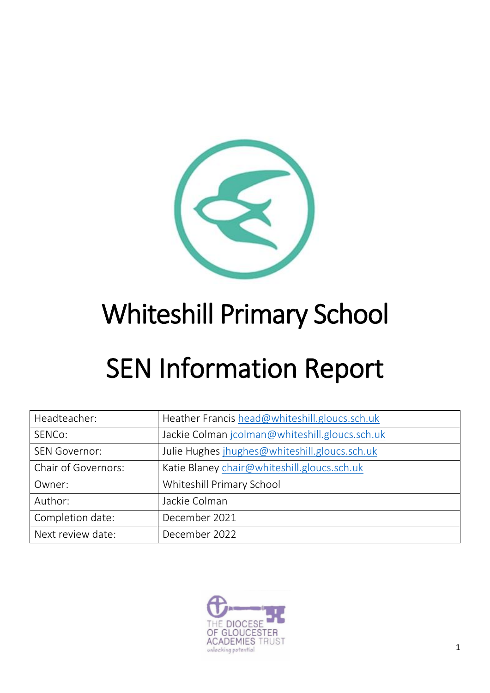

# Whiteshill Primary School

# SEN Information Report

| Headteacher:         | Heather Francis head@whiteshill.gloucs.sch.uk  |
|----------------------|------------------------------------------------|
| SENCo:               | Jackie Colman jcolman@whiteshill.gloucs.sch.uk |
| <b>SEN Governor:</b> | Julie Hughes jhughes@whiteshill.gloucs.sch.uk  |
| Chair of Governors:  | Katie Blaney chair@whiteshill.gloucs.sch.uk    |
| Owner:               | Whiteshill Primary School                      |
| Author:              | Jackie Colman                                  |
| Completion date:     | December 2021                                  |
| Next review date:    | December 2022                                  |

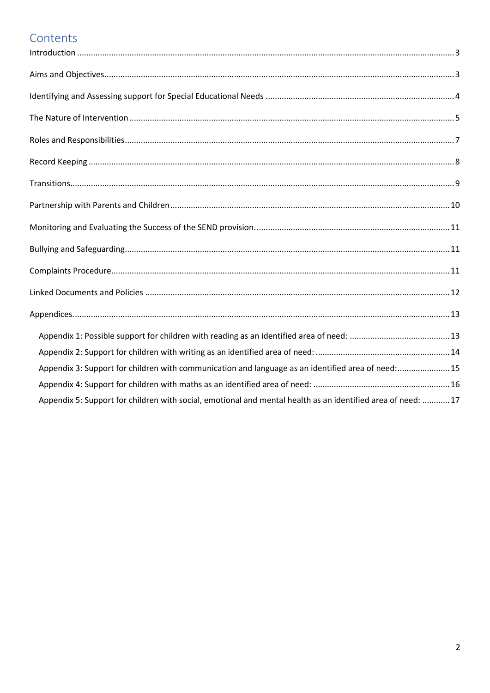## Contents

| Appendix 3: Support for children with communication and language as an identified area of need:15           |  |
|-------------------------------------------------------------------------------------------------------------|--|
|                                                                                                             |  |
| Appendix 5: Support for children with social, emotional and mental health as an identified area of need: 17 |  |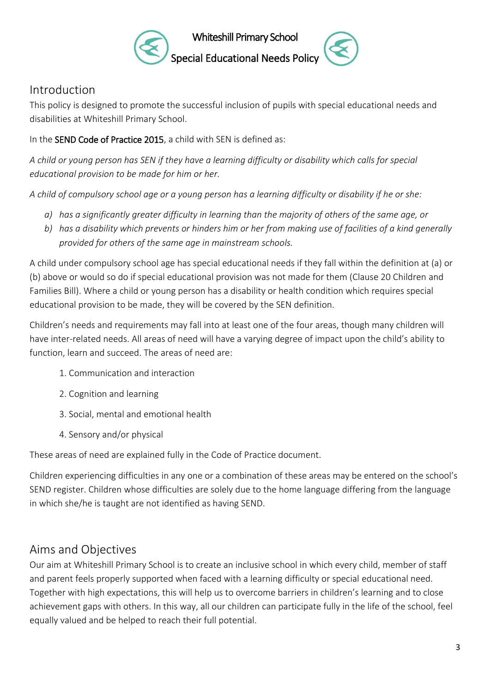

Whiteshill Primary School



## <span id="page-2-0"></span>Introduction

This policy is designed to promote the successful inclusion of pupils with special educational needs and disabilities at Whiteshill Primary School.

In the SEND Code of Practice 2015, a child with SEN is defined as:

*A child or young person has SEN if they have a learning difficulty or disability which calls for special educational provision to be made for him or her.*

*A child of compulsory school age or a young person has a learning difficulty or disability if he or she:*

- *a) has a significantly greater difficulty in learning than the majority of others of the same age, or*
- *b) has a disability which prevents or hinders him or her from making use of facilities of a kind generally provided for others of the same age in mainstream schools.*

A child under compulsory school age has special educational needs if they fall within the definition at (a) or (b) above or would so do if special educational provision was not made for them (Clause 20 Children and Families Bill). Where a child or young person has a disability or health condition which requires special educational provision to be made, they will be covered by the SEN definition.

Children's needs and requirements may fall into at least one of the four areas, though many children will have inter-related needs. All areas of need will have a varying degree of impact upon the child's ability to function, learn and succeed. The areas of need are:

- 1. Communication and interaction
- 2. Cognition and learning
- 3. Social, mental and emotional health
- 4. Sensory and/or physical

These areas of need are explained fully in the Code of Practice document.

Children experiencing difficulties in any one or a combination of these areas may be entered on the school's SEND register. Children whose difficulties are solely due to the home language differing from the language in which she/he is taught are not identified as having SEND.

## <span id="page-2-1"></span>Aims and Objectives

Our aim at Whiteshill Primary School is to create an inclusive school in which every child, member of staff and parent feels properly supported when faced with a learning difficulty or special educational need. Together with high expectations, this will help us to overcome barriers in children's learning and to close achievement gaps with others. In this way, all our children can participate fully in the life of the school, feel equally valued and be helped to reach their full potential.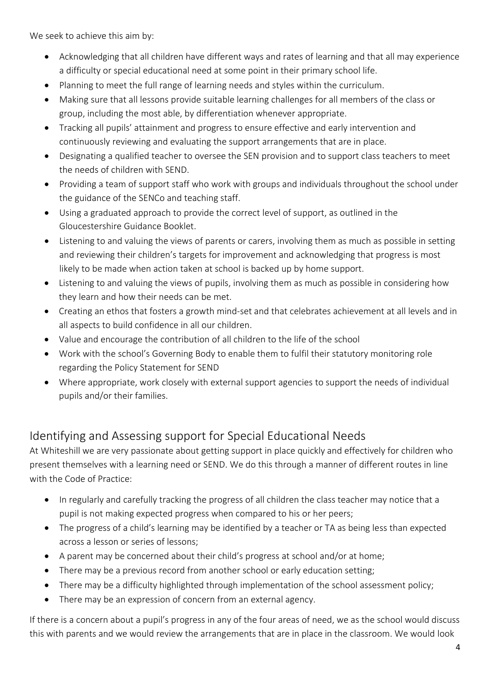We seek to achieve this aim by:

- Acknowledging that all children have different ways and rates of learning and that all may experience a difficulty or special educational need at some point in their primary school life.
- Planning to meet the full range of learning needs and styles within the curriculum.
- Making sure that all lessons provide suitable learning challenges for all members of the class or group, including the most able, by differentiation whenever appropriate.
- Tracking all pupils' attainment and progress to ensure effective and early intervention and continuously reviewing and evaluating the support arrangements that are in place.
- Designating a qualified teacher to oversee the SEN provision and to support class teachers to meet the needs of children with SEND.
- Providing a team of support staff who work with groups and individuals throughout the school under the guidance of the SENCo and teaching staff.
- Using a graduated approach to provide the correct level of support, as outlined in the Gloucestershire Guidance Booklet.
- Listening to and valuing the views of parents or carers, involving them as much as possible in setting and reviewing their children's targets for improvement and acknowledging that progress is most likely to be made when action taken at school is backed up by home support.
- Listening to and valuing the views of pupils, involving them as much as possible in considering how they learn and how their needs can be met.
- Creating an ethos that fosters a growth mind-set and that celebrates achievement at all levels and in all aspects to build confidence in all our children.
- Value and encourage the contribution of all children to the life of the school
- Work with the school's Governing Body to enable them to fulfil their statutory monitoring role regarding the Policy Statement for SEND
- Where appropriate, work closely with external support agencies to support the needs of individual pupils and/or their families.

## <span id="page-3-0"></span>Identifying and Assessing support for Special Educational Needs

At Whiteshill we are very passionate about getting support in place quickly and effectively for children who present themselves with a learning need or SEND. We do this through a manner of different routes in line with the Code of Practice:

- In regularly and carefully tracking the progress of all children the class teacher may notice that a pupil is not making expected progress when compared to his or her peers;
- The progress of a child's learning may be identified by a teacher or TA as being less than expected across a lesson or series of lessons;
- A parent may be concerned about their child's progress at school and/or at home;
- There may be a previous record from another school or early education setting;
- There may be a difficulty highlighted through implementation of the school assessment policy;
- There may be an expression of concern from an external agency.

If there is a concern about a pupil's progress in any of the four areas of need, we as the school would discuss this with parents and we would review the arrangements that are in place in the classroom. We would look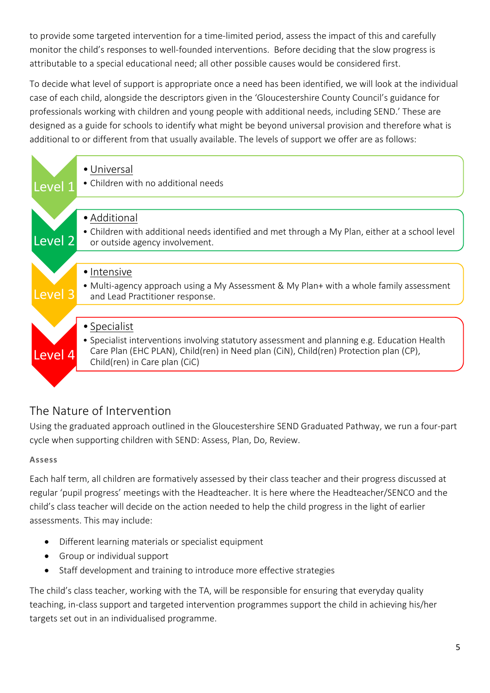to provide some targeted intervention for a time-limited period, assess the impact of this and carefully monitor the child's responses to well-founded interventions. Before deciding that the slow progress is attributable to a special educational need; all other possible causes would be considered first.

To decide what level of support is appropriate once a need has been identified, we will look at the individual case of each child, alongside the descriptors given in the 'Gloucestershire County Council's guidance for professionals working with children and young people with additional needs, including SEND.' These are designed as a guide for schools to identify what might be beyond universal provision and therefore what is additional to or different from that usually available. The levels of support we offer are as follows:

|                    | • Universal                                                                                                                       |
|--------------------|-----------------------------------------------------------------------------------------------------------------------------------|
| Level 1            | • Children with no additional needs                                                                                               |
|                    |                                                                                                                                   |
|                    | • Additional                                                                                                                      |
| Level <sub>2</sub> | • Children with additional needs identified and met through a My Plan, either at a school level<br>or outside agency involvement. |
|                    |                                                                                                                                   |
|                    | • Intensive                                                                                                                       |
| Level <sub>3</sub> | • Multi-agency approach using a My Assessment & My Plan+ with a whole family assessment<br>and Lead Practitioner response.        |
|                    |                                                                                                                                   |
|                    | • Specialist                                                                                                                      |
|                    | • Specialist interventions involving statutory assessment and planning e.g. Education Health                                      |
| Level 4            | Care Plan (EHC PLAN), Child(ren) in Need plan (CiN), Child(ren) Protection plan (CP),<br>Child(ren) in Care plan (CiC)            |
|                    |                                                                                                                                   |

## <span id="page-4-0"></span>The Nature of Intervention

Using the graduated approach outlined in the Gloucestershire SEND Graduated Pathway, we run a four-part cycle when supporting children with SEND: Assess, Plan, Do, Review.

### **Assess**

Each half term, all children are formatively assessed by their class teacher and their progress discussed at regular 'pupil progress' meetings with the Headteacher. It is here where the Headteacher/SENCO and the child's class teacher will decide on the action needed to help the child progress in the light of earlier assessments. This may include:

- Different learning materials or specialist equipment
- Group or individual support
- Staff development and training to introduce more effective strategies

The child's class teacher, working with the TA, will be responsible for ensuring that everyday quality teaching, in-class support and targeted intervention programmes support the child in achieving his/her targets set out in an individualised programme.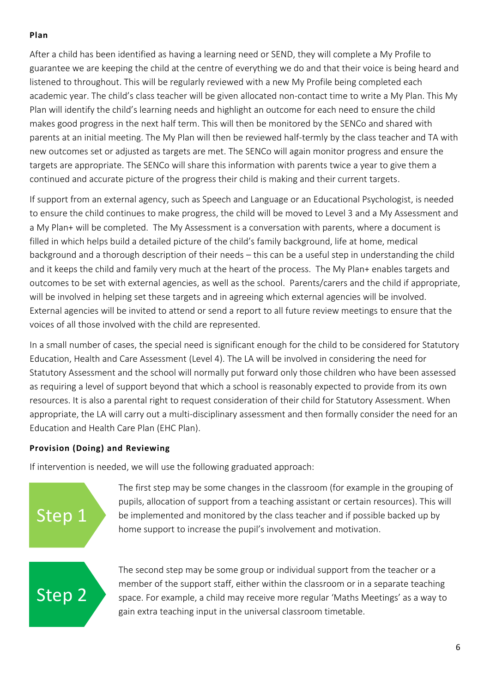#### **Plan**

After a child has been identified as having a learning need or SEND, they will complete a My Profile to guarantee we are keeping the child at the centre of everything we do and that their voice is being heard and listened to throughout. This will be regularly reviewed with a new My Profile being completed each academic year. The child's class teacher will be given allocated non-contact time to write a My Plan. This My Plan will identify the child's learning needs and highlight an outcome for each need to ensure the child makes good progress in the next half term. This will then be monitored by the SENCo and shared with parents at an initial meeting. The My Plan will then be reviewed half-termly by the class teacher and TA with new outcomes set or adjusted as targets are met. The SENCo will again monitor progress and ensure the targets are appropriate. The SENCo will share this information with parents twice a year to give them a continued and accurate picture of the progress their child is making and their current targets.

If support from an external agency, such as Speech and Language or an Educational Psychologist, is needed to ensure the child continues to make progress, the child will be moved to Level 3 and a My Assessment and a My Plan+ will be completed. The My Assessment is a conversation with parents, where a document is filled in which helps build a detailed picture of the child's family background, life at home, medical background and a thorough description of their needs – this can be a useful step in understanding the child and it keeps the child and family very much at the heart of the process. The My Plan+ enables targets and outcomes to be set with external agencies, as well as the school. Parents/carers and the child if appropriate, will be involved in helping set these targets and in agreeing which external agencies will be involved. External agencies will be invited to attend or send a report to all future review meetings to ensure that the voices of all those involved with the child are represented.

In a small number of cases, the special need is significant enough for the child to be considered for Statutory Education, Health and Care Assessment (Level 4). The LA will be involved in considering the need for Statutory Assessment and the school will normally put forward only those children who have been assessed as requiring a level of support beyond that which a school is reasonably expected to provide from its own resources. It is also a parental right to request consideration of their child for Statutory Assessment. When appropriate, the LA will carry out a multi-disciplinary assessment and then formally consider the need for an Education and Health Care Plan (EHC Plan).

#### **Provision (Doing) and Reviewing**

If intervention is needed, we will use the following graduated approach:

## Step 1

The first step may be some changes in the classroom (for example in the grouping of pupils, allocation of support from a teaching assistant or certain resources). This will be implemented and monitored by the class teacher and if possible backed up by home support to increase the pupil's involvement and motivation.

## Step 2

The second step may be some group or individual support from the teacher or a member of the support staff, either within the classroom or in a separate teaching space. For example, a child may receive more regular 'Maths Meetings' as a way to gain extra teaching input in the universal classroom timetable.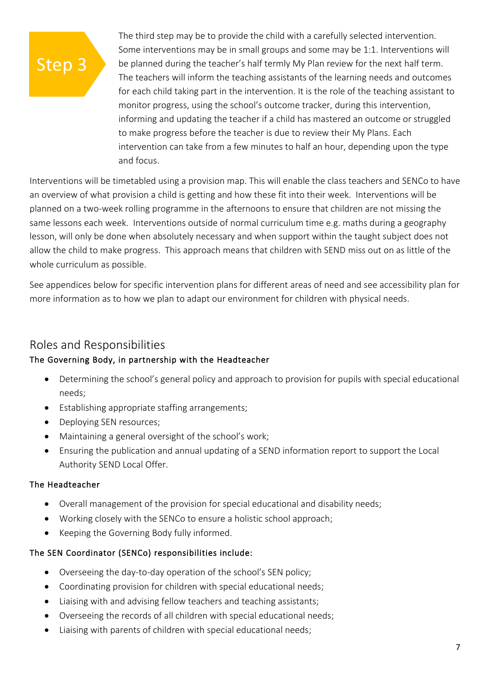## Step 3

The third step may be to provide the child with a carefully selected intervention. Some interventions may be in small groups and some may be 1:1. Interventions will be planned during the teacher's half termly My Plan review for the next half term. The teachers will inform the teaching assistants of the learning needs and outcomes for each child taking part in the intervention. It is the role of the teaching assistant to monitor progress, using the school's outcome tracker, during this intervention, informing and updating the teacher if a child has mastered an outcome or struggled to make progress before the teacher is due to review their My Plans. Each intervention can take from a few minutes to half an hour, depending upon the type and focus.

Interventions will be timetabled using a provision map. This will enable the class teachers and SENCo to have an overview of what provision a child is getting and how these fit into their week. Interventions will be planned on a two-week rolling programme in the afternoons to ensure that children are not missing the same lessons each week. Interventions outside of normal curriculum time e.g. maths during a geography lesson, will only be done when absolutely necessary and when support within the taught subject does not allow the child to make progress. This approach means that children with SEND miss out on as little of the whole curriculum as possible.

See appendices below for specific intervention plans for different areas of need and see accessibility plan for more information as to how we plan to adapt our environment for children with physical needs.

### <span id="page-6-0"></span>Roles and Responsibilities

#### The Governing Body, in partnership with the Headteacher

- Determining the school's general policy and approach to provision for pupils with special educational needs;
- Establishing appropriate staffing arrangements;
- Deploying SEN resources;
- Maintaining a general oversight of the school's work;
- Ensuring the publication and annual updating of a SEND information report to support the Local Authority SEND Local Offer.

#### The Headteacher

- Overall management of the provision for special educational and disability needs;
- Working closely with the SENCo to ensure a holistic school approach;
- Keeping the Governing Body fully informed.

#### The SEN Coordinator (SENCo) responsibilities include:

- Overseeing the day-to-day operation of the school's SEN policy;
- Coordinating provision for children with special educational needs;
- Liaising with and advising fellow teachers and teaching assistants;
- Overseeing the records of all children with special educational needs;
- Liaising with parents of children with special educational needs;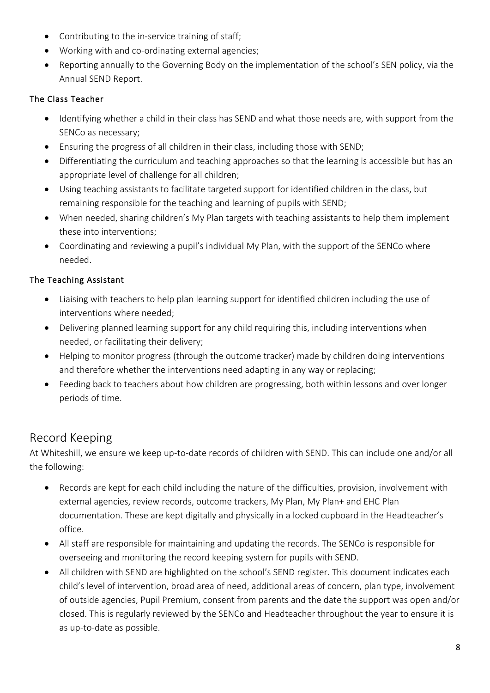- Contributing to the in-service training of staff;
- Working with and co-ordinating external agencies;
- Reporting annually to the Governing Body on the implementation of the school's SEN policy, via the Annual SEND Report.

#### The Class Teacher

- Identifying whether a child in their class has SEND and what those needs are, with support from the SENCo as necessary;
- Ensuring the progress of all children in their class, including those with SEND;
- Differentiating the curriculum and teaching approaches so that the learning is accessible but has an appropriate level of challenge for all children;
- Using teaching assistants to facilitate targeted support for identified children in the class, but remaining responsible for the teaching and learning of pupils with SEND;
- When needed, sharing children's My Plan targets with teaching assistants to help them implement these into interventions;
- Coordinating and reviewing a pupil's individual My Plan, with the support of the SENCo where needed.

#### The Teaching Assistant

- Liaising with teachers to help plan learning support for identified children including the use of interventions where needed;
- Delivering planned learning support for any child requiring this, including interventions when needed, or facilitating their delivery;
- Helping to monitor progress (through the outcome tracker) made by children doing interventions and therefore whether the interventions need adapting in any way or replacing;
- Feeding back to teachers about how children are progressing, both within lessons and over longer periods of time.

## <span id="page-7-0"></span>Record Keeping

At Whiteshill, we ensure we keep up-to-date records of children with SEND. This can include one and/or all the following:

- Records are kept for each child including the nature of the difficulties, provision, involvement with external agencies, review records, outcome trackers, My Plan, My Plan+ and EHC Plan documentation. These are kept digitally and physically in a locked cupboard in the Headteacher's office.
- All staff are responsible for maintaining and updating the records. The SENCo is responsible for overseeing and monitoring the record keeping system for pupils with SEND.
- All children with SEND are highlighted on the school's SEND register. This document indicates each child's level of intervention, broad area of need, additional areas of concern, plan type, involvement of outside agencies, Pupil Premium, consent from parents and the date the support was open and/or closed. This is regularly reviewed by the SENCo and Headteacher throughout the year to ensure it is as up-to-date as possible.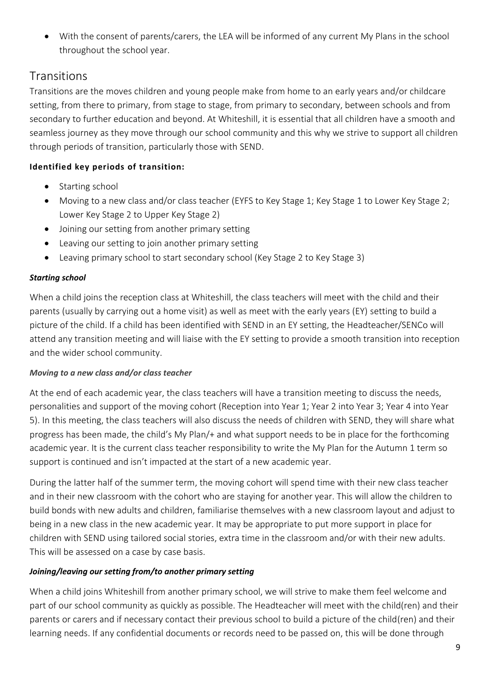• With the consent of parents/carers, the LEA will be informed of any current My Plans in the school throughout the school year.

## <span id="page-8-0"></span>**Transitions**

Transitions are the moves children and young people make from home to an early years and/or childcare setting, from there to primary, from stage to stage, from primary to secondary, between schools and from secondary to further education and beyond. At Whiteshill, it is essential that all children have a smooth and seamless journey as they move through our school community and this why we strive to support all children through periods of transition, particularly those with SEND.

## **Identified key periods of transition:**

- Starting school
- Moving to a new class and/or class teacher (EYFS to Key Stage 1; Key Stage 1 to Lower Key Stage 2; Lower Key Stage 2 to Upper Key Stage 2)
- Joining our setting from another primary setting
- Leaving our setting to join another primary setting
- Leaving primary school to start secondary school (Key Stage 2 to Key Stage 3)

### *Starting school*

When a child joins the reception class at Whiteshill, the class teachers will meet with the child and their parents (usually by carrying out a home visit) as well as meet with the early years (EY) setting to build a picture of the child. If a child has been identified with SEND in an EY setting, the Headteacher/SENCo will attend any transition meeting and will liaise with the EY setting to provide a smooth transition into reception and the wider school community.

### *Moving to a new class and/or class teacher*

At the end of each academic year, the class teachers will have a transition meeting to discuss the needs, personalities and support of the moving cohort (Reception into Year 1; Year 2 into Year 3; Year 4 into Year 5). In this meeting, the class teachers will also discuss the needs of children with SEND, they will share what progress has been made, the child's My Plan/+ and what support needs to be in place for the forthcoming academic year. It is the current class teacher responsibility to write the My Plan for the Autumn 1 term so support is continued and isn't impacted at the start of a new academic year.

During the latter half of the summer term, the moving cohort will spend time with their new class teacher and in their new classroom with the cohort who are staying for another year. This will allow the children to build bonds with new adults and children, familiarise themselves with a new classroom layout and adjust to being in a new class in the new academic year. It may be appropriate to put more support in place for children with SEND using tailored social stories, extra time in the classroom and/or with their new adults. This will be assessed on a case by case basis.

### *Joining/leaving our setting from/to another primary setting*

When a child joins Whiteshill from another primary school, we will strive to make them feel welcome and part of our school community as quickly as possible. The Headteacher will meet with the child(ren) and their parents or carers and if necessary contact their previous school to build a picture of the child(ren) and their learning needs. If any confidential documents or records need to be passed on, this will be done through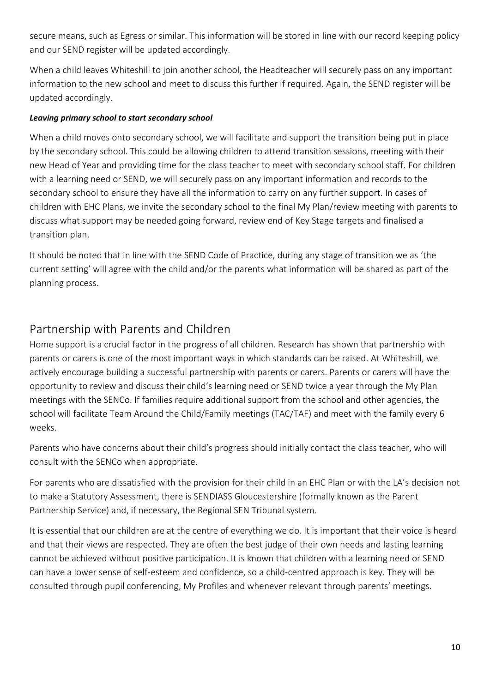secure means, such as Egress or similar. This information will be stored in line with our record keeping policy and our SEND register will be updated accordingly.

When a child leaves Whiteshill to join another school, the Headteacher will securely pass on any important information to the new school and meet to discuss this further if required. Again, the SEND register will be updated accordingly.

#### *Leaving primary school to start secondary school*

When a child moves onto secondary school, we will facilitate and support the transition being put in place by the secondary school. This could be allowing children to attend transition sessions, meeting with their new Head of Year and providing time for the class teacher to meet with secondary school staff. For children with a learning need or SEND, we will securely pass on any important information and records to the secondary school to ensure they have all the information to carry on any further support. In cases of children with EHC Plans, we invite the secondary school to the final My Plan/review meeting with parents to discuss what support may be needed going forward, review end of Key Stage targets and finalised a transition plan.

It should be noted that in line with the SEND Code of Practice, during any stage of transition we as 'the current setting' will agree with the child and/or the parents what information will be shared as part of the planning process.

## <span id="page-9-0"></span>Partnership with Parents and Children

Home support is a crucial factor in the progress of all children. Research has shown that partnership with parents or carers is one of the most important ways in which standards can be raised. At Whiteshill, we actively encourage building a successful partnership with parents or carers. Parents or carers will have the opportunity to review and discuss their child's learning need or SEND twice a year through the My Plan meetings with the SENCo. If families require additional support from the school and other agencies, the school will facilitate Team Around the Child/Family meetings (TAC/TAF) and meet with the family every 6 weeks.

Parents who have concerns about their child's progress should initially contact the class teacher, who will consult with the SENCo when appropriate.

For parents who are dissatisfied with the provision for their child in an EHC Plan or with the LA's decision not to make a Statutory Assessment, there is SENDIASS Gloucestershire (formally known as the Parent Partnership Service) and, if necessary, the Regional SEN Tribunal system.

It is essential that our children are at the centre of everything we do. It is important that their voice is heard and that their views are respected. They are often the best judge of their own needs and lasting learning cannot be achieved without positive participation. It is known that children with a learning need or SEND can have a lower sense of self-esteem and confidence, so a child-centred approach is key. They will be consulted through pupil conferencing, My Profiles and whenever relevant through parents' meetings.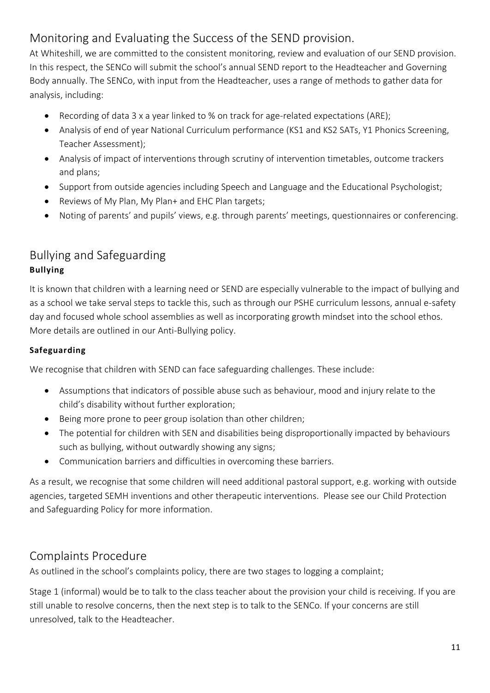## <span id="page-10-0"></span>Monitoring and Evaluating the Success of the SEND provision.

At Whiteshill, we are committed to the consistent monitoring, review and evaluation of our SEND provision. In this respect, the SENCo will submit the school's annual SEND report to the Headteacher and Governing Body annually. The SENCo, with input from the Headteacher, uses a range of methods to gather data for analysis, including:

- Recording of data 3 x a year linked to % on track for age-related expectations (ARE);
- Analysis of end of year National Curriculum performance (KS1 and KS2 SATs, Y1 Phonics Screening, Teacher Assessment);
- Analysis of impact of interventions through scrutiny of intervention timetables, outcome trackers and plans;
- Support from outside agencies including Speech and Language and the Educational Psychologist;
- Reviews of My Plan, My Plan+ and EHC Plan targets;
- Noting of parents' and pupils' views, e.g. through parents' meetings, questionnaires or conferencing.

## <span id="page-10-1"></span>Bullying and Safeguarding **Bullying**

It is known that children with a learning need or SEND are especially vulnerable to the impact of bullying and as a school we take serval steps to tackle this, such as through our PSHE curriculum lessons, annual e-safety day and focused whole school assemblies as well as incorporating growth mindset into the school ethos. More details are outlined in our Anti-Bullying policy.

#### **Safeguarding**

We recognise that children with SEND can face safeguarding challenges. These include:

- Assumptions that indicators of possible abuse such as behaviour, mood and injury relate to the child's disability without further exploration;
- Being more prone to peer group isolation than other children;
- The potential for children with SEN and disabilities being disproportionally impacted by behaviours such as bullying, without outwardly showing any signs;
- Communication barriers and difficulties in overcoming these barriers.

As a result, we recognise that some children will need additional pastoral support, e.g. working with outside agencies, targeted SEMH inventions and other therapeutic interventions. Please see our Child Protection and Safeguarding Policy for more information.

## <span id="page-10-2"></span>Complaints Procedure

As outlined in the school's complaints policy, there are two stages to logging a complaint;

Stage 1 (informal) would be to talk to the class teacher about the provision your child is receiving. If you are still unable to resolve concerns, then the next step is to talk to the SENCo. If your concerns are still unresolved, talk to the Headteacher.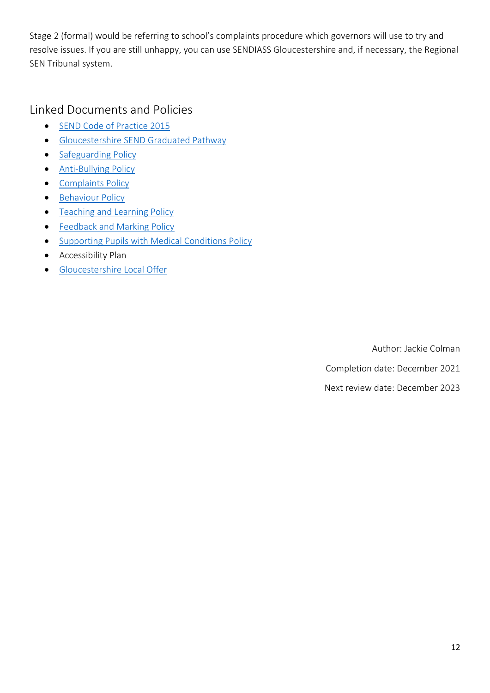Stage 2 (formal) would be referring to school's complaints procedure which governors will use to try and resolve issues. If you are still unhappy, you can use SENDIASS Gloucestershire and, if necessary, the Regional SEN Tribunal system.

<span id="page-11-0"></span>Linked Documents and Policies

- [SEND Code of Practice 2015](https://assets.publishing.service.gov.uk/government/uploads/system/uploads/attachment_data/file/398815/SEND_Code_of_Practice_January_2015.pdf)
- [Gloucestershire SEND Graduated Pathway](https://search3.openobjects.com/mediamanager/gloucs/glosfamilies/files/gloucestershire_guidance_for_practitioners_working_with_children_and_young_people_2nd_ed.pdf)
- [Safeguarding Policy](https://www.whiteshillschool.co.uk/wp-content/uploads/2021/10/DGAT-Child-Protection-and-Safeguarding-Policy.pdf)
- [Anti-Bullying Policy](https://www.whiteshillschool.co.uk/wp-content/uploads/2021/09/DGAT-Anti-bulling-Policy-Final-1-1.pdf)
- [Complaints Policy](https://www.whiteshillschool.co.uk/wp-content/uploads/2021/09/DGAT-Complaints-Policy.pdf)
- [Behaviour Policy](https://www.whiteshillschool.co.uk/wp-content/uploads/2021/09/Behaviour-Policy-DRAFT-Sept-2021-1.pdf)
- [Teaching and Learning Policy](https://www.whiteshillschool.co.uk/wp-content/uploads/2019/09/Teaching-and-Learning-Policy.pdf)
- [Feedback and Marking Policy](https://www.whiteshillschool.co.uk/wp-content/uploads/2021/09/Feedback-and-Marking-Policy.pdf)
- [Supporting Pupils with Medical Conditions Policy](https://www.whiteshillschool.co.uk/wp-content/uploads/2021/09/DGAT-Supporting-Pupils-with-Medical-Cond.pdf)
- Accessibility Plan
- [Gloucestershire Local Offer](https://www.glosfamiliesdirectory.org.uk/kb5/gloucs/glosfamilies/family.page?familychannel=2)

Author: Jackie Colman Completion date: December 2021

Next review date: December 2023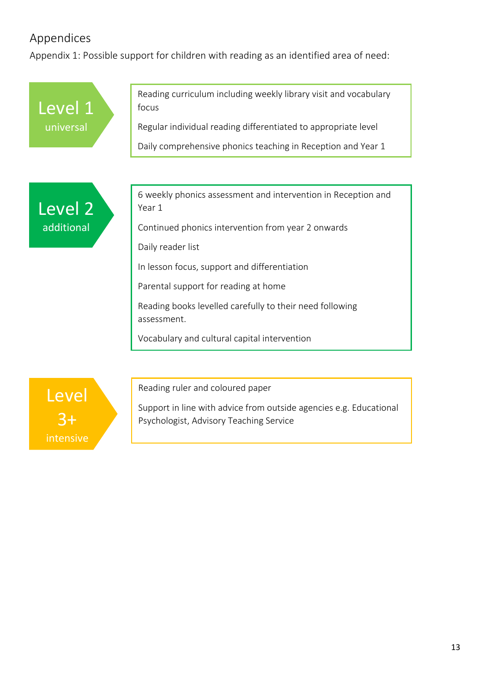## <span id="page-12-0"></span>Appendices

<span id="page-12-1"></span>Appendix 1: Possible support for children with reading as an identified area of need:

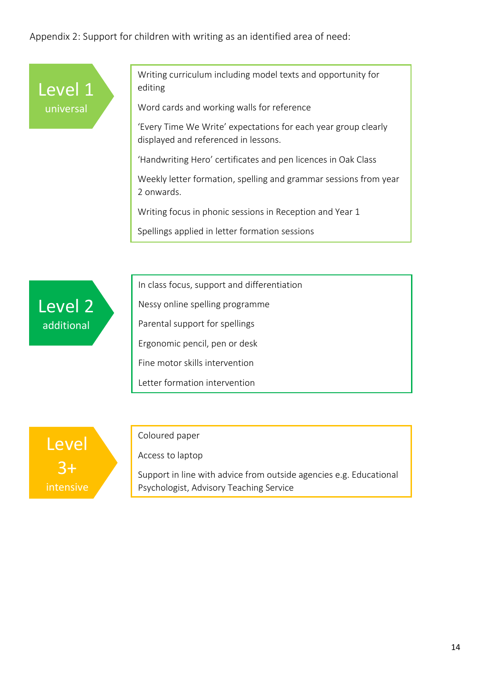<span id="page-13-0"></span>Appendix 2: Support for children with writing as an identified area of need:



Writing curriculum including model texts and opportunity for editing

Word cards and working walls for reference

'Every Time We Write' expectations for each year group clearly displayed and referenced in lessons.

'Handwriting Hero' certificates and pen licences in Oak Class

Weekly letter formation, spelling and grammar sessions from year 2 onwards.

Writing focus in phonic sessions in Reception and Year 1

Spellings applied in letter formation sessions



In class focus, support and differentiation

Nessy online spelling programme

Parental support for spellings

Ergonomic pencil, pen or desk

Fine motor skills intervention

Letter formation intervention



#### Coloured paper

Access to laptop

Support in line with advice from outside agencies e.g. Educational Psychologist, Advisory Teaching Service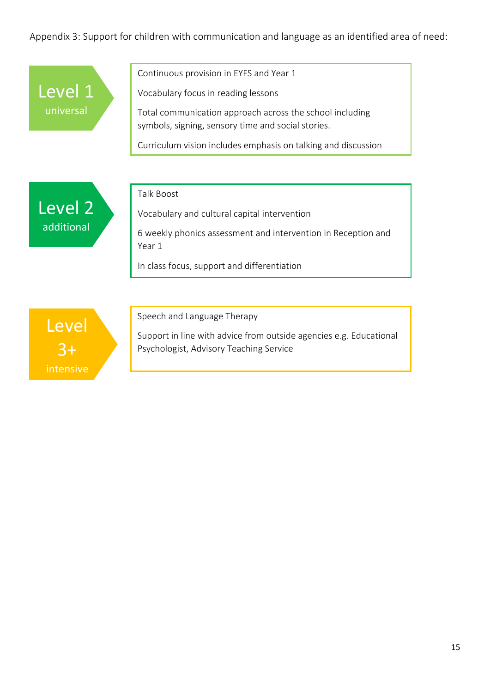## <span id="page-14-0"></span>Appendix 3: Support for children with communication and language as an identified area of need:

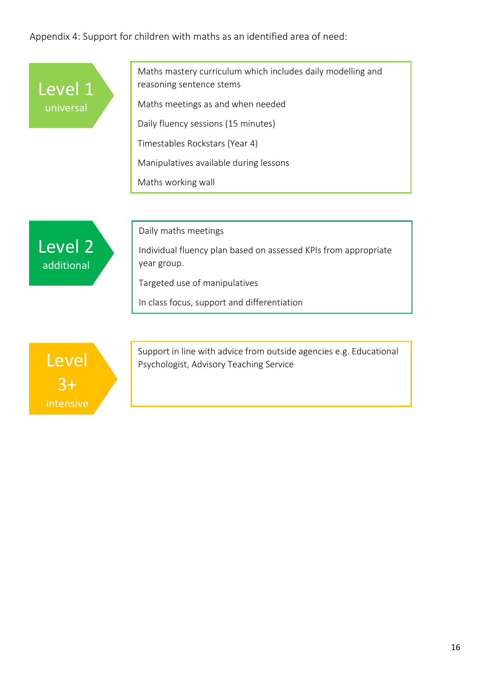## <span id="page-15-0"></span>Appendix 4: Support for children with maths as an identified area of need: